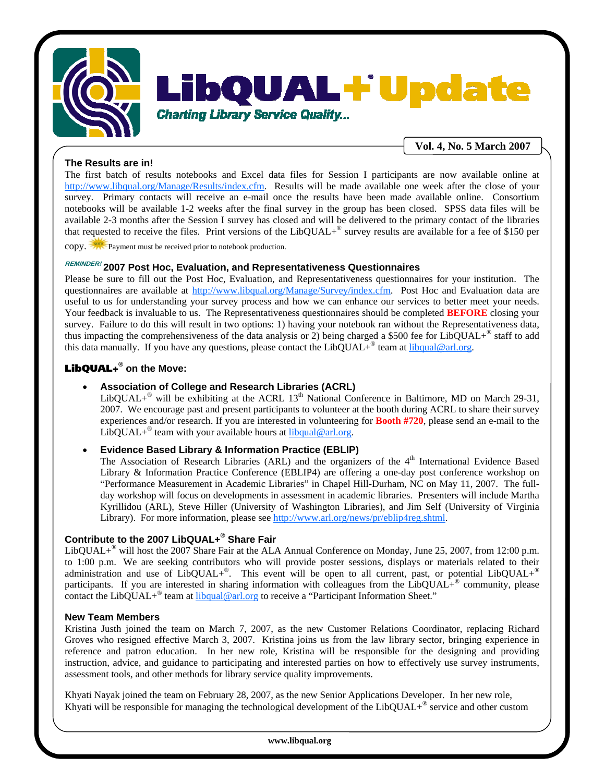

# AL+ Undate OU

**Charting Library Service Quality...** 

**Vol. 4, No. 5 March 2007**

# **The Results are in!**

The first batch of results notebooks and Excel data files for Session I participants are now available online at http://www.libqual.org/Manage/Results/index.cfm. Results will be made available one week after the close of your survey. Primary contacts will receive an e-mail once the results have been made available online. Consortium notebooks will be available 1-2 weeks after the final survey in the group has been closed. SPSS data files will be available 2-3 months after the Session I survey has closed and will be delivered to the primary contact of the libraries that requested to receive the files. Print versions of the LibQUAL $+^{\circ}$  survey results are available for a fee of \$150 per

copy. Payment must be received prior to notebook production.

# **REMINDER! 2007 Post Hoc, Evaluation, and Representativeness Questionnaires**

Please be sure to fill out the Post Hoc, Evaluation, and Representativeness questionnaires for your institution. The questionnaires are available at http://www.libqual.org/Manage/Survey/index.cfm. Post Hoc and Evaluation data are useful to us for understanding your survey process and how we can enhance our services to better meet your needs. Your feedback is invaluable to us. The Representativeness questionnaires should be completed **BEFORE** closing your survey. Failure to do this will result in two options: 1) having your notebook ran without the Representativeness data, thus impacting the comprehensiveness of the data analysis or 2) being charged a \$500 fee for LibQUAL+<sup>®</sup> staff to add this data manually. If you have any questions, please contact the  $LibQUAL+^{\circ}$  team at libqual@arl.org.

## LibQUAL+**® on the Move:**

### • **Association of College and Research Libraries (ACRL)**

LibQUAL+<sup>®</sup> will be exhibiting at the ACRL  $13<sup>th</sup>$  National Conference in Baltimore, MD on March 29-31, 2007. We encourage past and present participants to volunteer at the booth during ACRL to share their survey experiences and/or research. If you are interested in volunteering for **Booth #720**, please send an e-mail to the LibQUAL+<sup>®</sup> team with your available hours at  $\mu$  libqual@arl.org.

## • **Evidence Based Library & Information Practice (EBLIP)**

The Association of Research Libraries (ARL) and the organizers of the 4<sup>th</sup> International Evidence Based Library & Information Practice Conference (EBLIP4) are offering a one-day post conference workshop on "Performance Measurement in Academic Libraries" in Chapel Hill-Durham, NC on May 11, 2007. The fullday workshop will focus on developments in assessment in academic libraries. Presenters will include Martha Kyrillidou (ARL), Steve Hiller (University of Washington Libraries), and Jim Self (University of Virginia Library). For more information, please see http://www.arl.org/news/pr/eblip4reg.shtml.

## **Contribute to the 2007 LibQUAL+® Share Fair**

LibQUAL+® will host the 2007 Share Fair at the ALA Annual Conference on Monday, June 25, 2007, from 12:00 p.m. to 1:00 p.m. We are seeking contributors who will provide poster sessions, displays or materials related to their administration and use of  $LibQUAL+<sup>®</sup>$ . This event will be open to all current, past, or potential  $LibQUAL+<sup>®</sup>$ participants. If you are interested in sharing information with colleagues from the LibQUAL+® community, please contact the LibQUAL+ $^{\circ}$  team at libqual@arl.org to receive a "Participant Information Sheet."

#### **New Team Members**

Kristina Justh joined the team on March 7, 2007, as the new Customer Relations Coordinator, replacing Richard Groves who resigned effective March 3, 2007. Kristina joins us from the law library sector, bringing experience in reference and patron education. In her new role, Kristina will be responsible for the designing and providing instruction, advice, and guidance to participating and interested parties on how to effectively use survey instruments, assessment tools, and other methods for library service quality improvements.

Khyati Nayak joined the team on February 28, 2007, as the new Senior Applications Developer. In her new role, Khyati will be responsible for managing the technological development of the LibQUAL+ $^{\circ}$  service and other custom